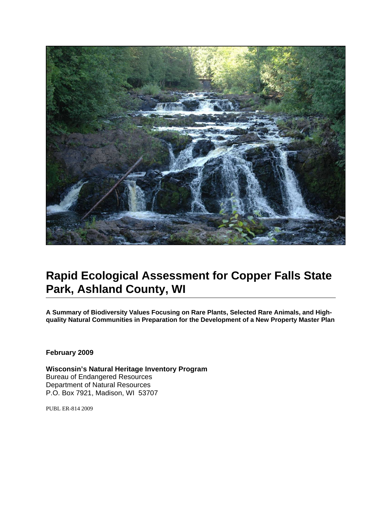

# **Rapid Ecological Assessment for Copper Falls State Park, Ashland County, WI**

**A Summary of Biodiversity Values Focusing on Rare Plants, Selected Rare Animals, and Highquality Natural Communities in Preparation for the Development of a New Property Master Plan**

**February 2009** 

**Wisconsin's Natural Heritage Inventory Program**  Bureau of Endangered Resources Department of Natural Resources P.O. Box 7921, Madison, WI 53707

PUBL ER-814 2009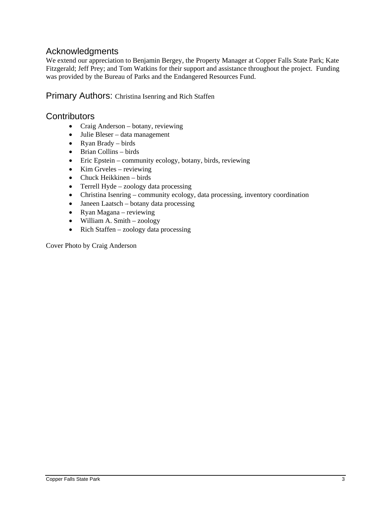### Acknowledgments

<span id="page-2-0"></span>We extend our appreciation to Benjamin Bergey, the Property Manager at Copper Falls State Park; Kate Fitzgerald; Jeff Prey; and Tom Watkins for their support and assistance throughout the project. Funding was provided by the Bureau of Parks and the Endangered Resources Fund.

### <span id="page-2-1"></span>Primary Authors: Christina Isenring and Rich Staffen

### <span id="page-2-2"></span>**Contributors**

- Craig Anderson botany, reviewing
- Julie Bleser data management
- Ryan Brady birds
- $\bullet$  Brian Collins birds
- $\bullet$  Eric Epstein community ecology, botany, birds, reviewing
- $\bullet$  Kim Gryeles reviewing
- Chuck Heikkinen birds
- Terrell Hyde zoology data processing
- Christina Isenring community ecology, data processing, inventory coordination
- Janeen Laatsch botany data processing
- Ryan Magana reviewing
- William A. Smith zoology
- Rich Staffen zoology data processing

Cover Photo by Craig Anderson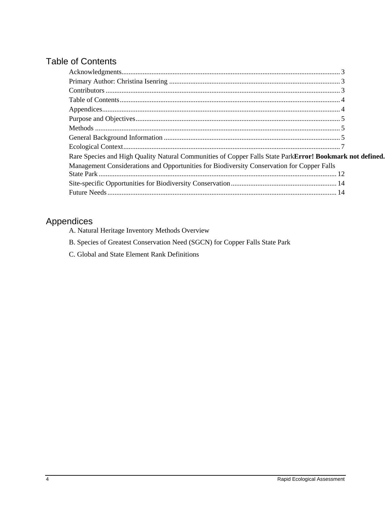## <span id="page-3-0"></span>**Table of Contents**

| Rare Species and High Quality Natural Communities of Copper Falls State ParkError! Bookmark not defined |  |
|---------------------------------------------------------------------------------------------------------|--|
| Management Considerations and Opportunities for Biodiversity Conservation for Copper Falls              |  |
|                                                                                                         |  |
|                                                                                                         |  |
|                                                                                                         |  |

## <span id="page-3-1"></span>Appendices

- A. Natural Heritage Inventory Methods Overview
- B. Species of Greatest Conservation Need (SGCN) for Copper Falls State Park
- C. Global and State Element Rank Definitions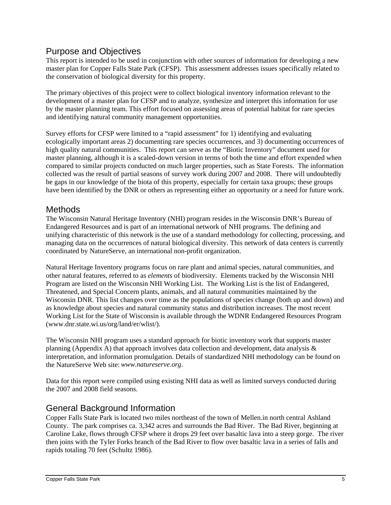### <span id="page-4-0"></span>Purpose and Objectives

This report is intended to be used in conjunction with other sources of information for developing a new master plan for Copper Falls State Park (CFSP). This assessment addresses issues specifically related to the conservation of biological diversity for this property.

The primary objectives of this project were to collect biological inventory information relevant to the development of a master plan for CFSP and to analyze, synthesize and interpret this information for use by the master planning team. This effort focused on assessing areas of potential habitat for rare species and identifying natural community management opportunities.

Survey efforts for CFSP were limited to a "rapid assessment" for 1) identifying and evaluating ecologically important areas 2) documenting rare species occurrences, and 3) documenting occurrences of high quality natural communities. This report can serve as the "Biotic Inventory" document used for master planning, although it is a scaled-down version in terms of both the time and effort expended when compared to similar projects conducted on much larger properties, such as State Forests. The information collected was the result of partial seasons of survey work during 2007 and 2008. There will undoubtedly be gaps in our knowledge of the biota of this property, especially for certain taxa groups; these groups have been identified by the DNR or others as representing either an opportunity or a need for future work.

### <span id="page-4-1"></span>**Methods**

The Wisconsin Natural Heritage Inventory (NHI) program resides in the Wisconsin DNR's Bureau of Endangered Resources and is part of an international network of NHI programs. The defining and unifying characteristic of this network is the use of a standard methodology for collecting, processing, and managing data on the occurrences of natural biological diversity. This network of data centers is currently coordinated by NatureServe, an international non-profit organization.

Natural Heritage Inventory programs focus on rare plant and animal species, natural communities, and other natural features, referred to as *elements* of biodiversity. Elements tracked by the Wisconsin NHI Program are listed on the Wisconsin NHI Working List. The Working List is the list of Endangered, Threatened, and Special Concern plants, animals, and all natural communities maintained by the Wisconsin DNR. This list changes over time as the populations of species change (both up and down) and as knowledge about species and natural community status and distribution increases. The most recent Working List for the State of Wisconsin is available through the WDNR Endangered Resources Program (www.dnr.state.wi.us/org/land/er/wlist/).

The Wisconsin NHI program uses a standard approach for biotic inventory work that supports master planning (Appendix A) that approach involves data collection and development, data analysis & interpretation, and information promulgation. Details of standardized NHI methodology can be found on the NatureServe Web site:*www.natureserve.org*.

Data for this report were compiled using existing NHI data as well as limited surveys conducted during the 2007 and 2008 field seasons.

### <span id="page-4-2"></span>General Background Information

Copper Falls State Park is located two miles northeast of the town of Mellen.in north central Ashland County. The park comprises ca. 3,342 acres and surrounds the Bad River. The Bad River, beginning at Caroline Lake, flows through CFSP where it drops 29 feet over basaltic lava into a steep gorge. The river then joins with the Tyler Forks branch of the Bad River to flow over basaltic lava in a series of falls and rapids totaling 70 feet (Schultz 1986).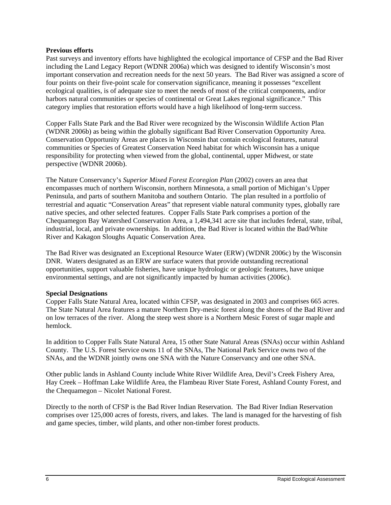#### **Previous efforts**

Past surveys and inventory efforts have highlighted the ecological importance of CFSP and the Bad River including the Land Legacy Report (WDNR 2006a) which was designed to identify Wisconsin's most important conservation and recreation needs for the next 50 years. The Bad River was assigned a score of four points on their five-point scale for conservation significance, meaning it possesses "excellent ecological qualities, is of adequate size to meet the needs of most of the critical components, and/or harbors natural communities or species of continental or Great Lakes regional significance." This category implies that restoration efforts would have a high likelihood of long-term success.

Copper Falls State Park and the Bad River were recognized by the Wisconsin Wildlife Action Plan (WDNR 2006b) as being within the globally significant Bad River Conservation Opportunity Area. Conservation Opportunity Areas are places in Wisconsin that contain ecological features, natural communities or Species of Greatest Conservation Need habitat for which Wisconsin has a unique responsibility for protecting when viewed from the global, continental, upper Midwest, or state perspective (WDNR 2006b).

The Nature Conservancy's *Superior Mixed Forest Ecoregion Plan* (2002) covers an area that encompasses much of northern Wisconsin, northern Minnesota, a small portion of Michigan's Upper Peninsula, and parts of southern Manitoba and southern Ontario. The plan resulted in a portfolio of terrestrial and aquatic "Conservation Areas" that represent viable natural community types, globally rare native species, and other selected features. Copper Falls State Park comprises a portion of the Chequamegon Bay Watershed Conservation Area, a 1,494,341 acre site that includes federal, state, tribal, industrial, local, and private ownerships. In addition, the Bad River is located within the Bad/White River and Kakagon Sloughs Aquatic Conservation Area.

The Bad River was designated an Exceptional Resource Water (ERW) (WDNR 2006c) by the Wisconsin DNR. Waters designated as an ERW are surface waters that provide outstanding recreational opportunities, support valuable fisheries, have unique hydrologic or geologic features, have unique environmental settings, and are not significantly impacted by human activities (2006c).

#### **Special Designations**

Copper Falls State Natural Area, located within CFSP, was designated in 2003 and comprises 665 acres. The State Natural Area features a mature Northern Dry-mesic forest along the shores of the Bad River and on low terraces of the river. Along the steep west shore is a Northern Mesic Forest of sugar maple and hemlock.

In addition to Copper Falls State Natural Area, 15 other State Natural Areas (SNAs) occur within Ashland County. The U.S. Forest Service owns 11 of the SNAs, The National Park Service owns two of the SNAs, and the WDNR jointly owns one SNA with the Nature Conservancy and one other SNA.

Other public lands in Ashland County include White River Wildlife Area, Devil's Creek Fishery Area, Hay Creek – Hoffman Lake Wildlife Area, the Flambeau River State Forest, Ashland County Forest, and the Chequamegon – Nicolet National Forest.

Directly to the north of CFSP is the Bad River Indian Reservation. The Bad River Indian Reservation comprises over 125,000 acres of forests, rivers, and lakes. The land is managed for the harvesting of fish and game species, timber, wild plants, and other non-timber forest products.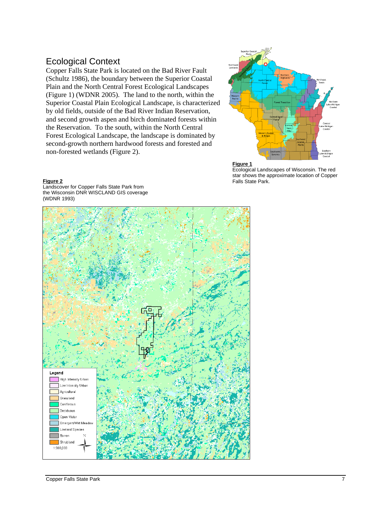### <span id="page-6-0"></span>Ecological Context

Copper Falls State Park is located on the Bad River Fault (Schultz 1986), the boundary between the Superior Coastal Plain and the North Central Forest Ecological Landscapes (Figure 1) (WDNR 2005). The land to the north, within the Superior Coastal Plain Ecological Landscape, is characterized by old fields, outside of the Bad River Indian Reservation, and second growth aspen and birch dominated forests within the Reservation. To the south, within the North Central Forest Ecological Landscape, the landscape is dominated by second-growth northern hardwood forests and forested and non-forested wetlands (Figure 2).





Ecological Landscapes of Wisconsin. The red star shows the approximate location of Copper Falls State Park.

**Figure 2** Landscover for Copper Falls State Park from the Wisconsin DNR WISCLAND GIS coverage (WDNR 1993)

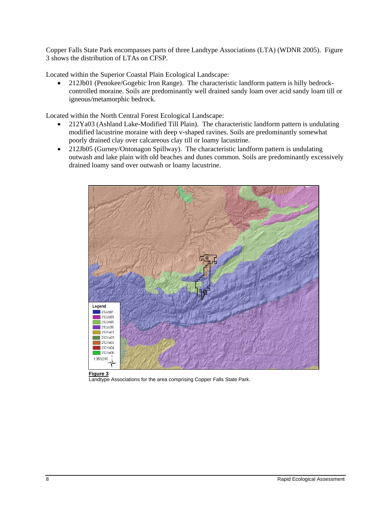Copper Falls State Park encompasses parts of three Landtype Associations (LTA) (WDNR 2005). Figure 3 shows the distribution of LTAs on CFSP.

Located within the Superior Coastal Plain Ecological Landscape:

 212Jb01 (Penokee/Gogebic Iron Range). The characteristic landform pattern is hilly bedrockcontrolled moraine. Soils are predominantly well drained sandy loam over acid sandy loam till or igneous/metamorphic bedrock.

Located within the North Central Forest Ecological Landscape:

- 212Ya03 (Ashland Lake-Modified Till Plain). The characteristic landform pattern is undulating modified lacustrine moraine with deep v-shaped ravines. Soils are predominantly somewhat poorly drained clay over calcareous clay till or loamy lacustrine.
- 212Jb05 (Gurney/Ontonagon Spillway). The characteristic landform pattern is undulating outwash and lake plain with old beaches and dunes common. Soils are predominantly excessively drained loamy sand over outwash or loamy lacustrine.



**Landtype Associations for the area comprising Copper Falls State Park.**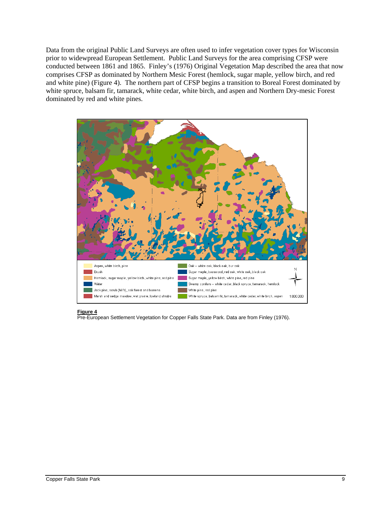Data from the original Public Land Surveys are often used to infer vegetation cover types for Wisconsin prior to widewpread European Settlement. Public Land Surveys for the area comprising CFSP were conducted between 1861 and 1865. Finley's (1976) Original Vegetation Map described the area that now comprises CFSP as dominated by Northern Mesic Forest (hemlock, sugar maple, yellow birch, and red and white pine) (Figure 4). The northern part of CFSP begins a transition to Boreal Forest dominated by white spruce, balsam fir, tamarack, white cedar, white birch, and aspen and Northern Dry-mesic Forest dominated by red and white pines.



#### **Figure 4**

Pre-European Settlement Vegetation for Copper Falls State Park. Data are from Finley (1976).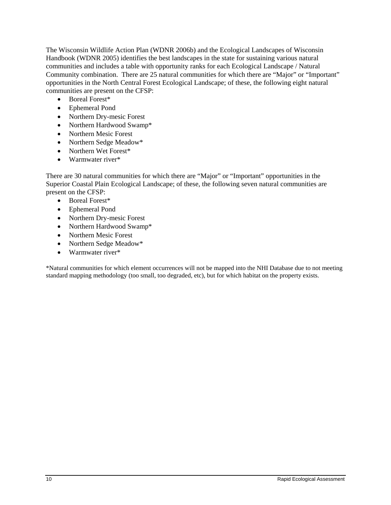The Wisconsin Wildlife Action Plan (WDNR 2006b) and the Ecological Landscapes of Wisconsin Handbook (WDNR 2005) identifies the best landscapes in the state for sustaining various natural communities and includes a table with opportunity ranks for each Ecological Landscape / Natural Community combination. There are 25 natural communities for which there are "Major" or "Important" opportunities in the North Central Forest Ecological Landscape; of these, the following eight natural communities are present on the CFSP:

- Boreal Forest\*
- Ephemeral Pond
- Northern Dry-mesic Forest
- Northern Hardwood Swamp\*
- Northern Mesic Forest
- Northern Sedge Meadow\*
- Northern Wet Forest\*
- Warmwater river\*

There are 30 natural communities for which there are "Major" or "Important" opportunities in the Superior Coastal Plain Ecological Landscape; of these, the following seven natural communities are present on the CFSP:

- Boreal Forest\*
- Ephemeral Pond
- Northern Dry-mesic Forest
- Northern Hardwood Swamp\*
- Northern Mesic Forest
- Northern Sedge Meadow\*
- Warmwater river\*

\*Natural communities for which element occurrences will not be mapped into the NHI Database due to not meeting standard mapping methodology (too small, too degraded, etc), but for which habitat on the property exists.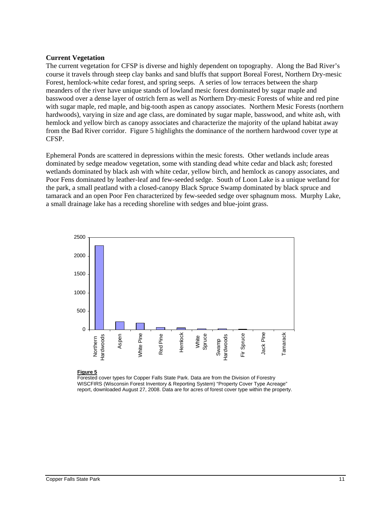#### **Current Vegetation**

The current vegetation for CFSP is diverse and highly dependent on topography. Along the Bad River's course it travels through steep clay banks and sand bluffs that support Boreal Forest, Northern Dry-mesic Forest, hemlock-white cedar forest, and spring seeps. A series of low terraces between the sharp meanders of the river have unique stands of lowland mesic forest dominated by sugar maple and basswood over a dense layer of ostrich fern as well as Northern Dry-mesic Forests of white and red pine with sugar maple, red maple, and big-tooth aspen as canopy associates. Northern Mesic Forests (northern hardwoods), varying in size and age class, are dominated by sugar maple, basswood, and white ash, with hemlock and yellow birch as canopy associates and characterize the majority of the upland habitat away from the Bad River corridor. Figure 5 highlights the dominance of the northern hardwood cover type at CFSP.

Ephemeral Ponds are scattered in depressions within the mesic forests. Other wetlands include areas dominated by sedge meadow vegetation, some with standing dead white cedar and black ash; forested wetlands dominated by black ash with white cedar, yellow birch, and hemlock as canopy associates, and Poor Fens dominated by leather-leaf and few-seeded sedge. South of Loon Lake is a unique wetland for the park, a small peatland with a closed-canopy Black Spruce Swamp dominated by black spruce and tamarack and an open Poor Fen characterized by few-seeded sedge over sphagnum moss. Murphy Lake, a small drainage lake has a receding shoreline with sedges and blue-joint grass.



**Figure 5**

Forested cover types for Copper Falls State Park. Data are from the Division of Forestry WISCFIRS (Wisconsin Forest Inventory & Reporting System) "Property Cover Type Acreage" report, downloaded August 27, 2008. Data are for acres of forest cover type within the property.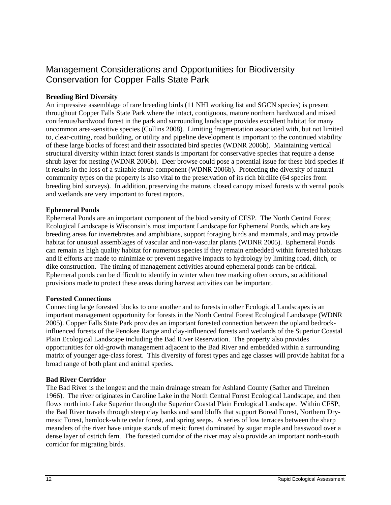### <span id="page-11-0"></span>Management Considerations and Opportunities for Biodiversity Conservation for Copper Falls State Park

#### **Breeding Bird Diversity**

An impressive assemblage of rare breeding birds (11 NHI working list and SGCN species) is present throughout Copper Falls State Park where the intact, contiguous, mature northern hardwood and mixed coniferous/hardwood forest in the park and surrounding landscape provides excellent habitat for many uncommon area-sensitive species (Collins 2008). Limiting fragmentation associated with, but not limited to, clear-cutting, road building, or utility and pipeline development is important to the continued viability of these large blocks of forest and their associated bird species (WDNR 2006b). Maintaining vertical structural diversity within intact forest stands is important for conservative species that require a dense shrub layer for nesting (WDNR 2006b). Deer browse could pose a potential issue for these bird species if it results in the loss of a suitable shrub component (WDNR 2006b). Protecting the diversity of natural community types on the property is also vital to the preservation of its rich birdlife (64 species from breeding bird surveys). In addition, preserving the mature, closed canopy mixed forests with vernal pools and wetlands are very important to forest raptors.

#### **Ephemeral Ponds**

Ephemeral Ponds are an important component of the biodiversity of CFSP. The North Central Forest Ecological Landscape is Wisconsin's most important Landscape for Ephemeral Ponds, which are key breeding areas for invertebrates and amphibians, support foraging birds and mammals, and may provide habitat for unusual assemblages of vascular and non-vascular plants (WDNR 2005). Ephemeral Ponds can remain as high quality habitat for numerous species if they remain embedded within forested habitats and if efforts are made to minimize or prevent negative impacts to hydrology by limiting road, ditch, or dike construction. The timing of management activities around ephemeral ponds can be critical. Ephemeral ponds can be difficult to identify in winter when tree marking often occurs, so additional provisions made to protect these areas during harvest activities can be important.

#### **Forested Connections**

Connecting large forested blocks to one another and to forests in other Ecological Landscapes is an important management opportunity for forests in the North Central Forest Ecological Landscape (WDNR 2005). Copper Falls State Park provides an important forested connection between the upland bedrockinfluenced forests of the Penokee Range and clay-influenced forests and wetlands of the Superior Coastal Plain Ecological Landscape including the Bad River Reservation. The property also provides opportunities for old-growth management adjacent to the Bad River and embedded within a surrounding matrix of younger age-class forest. This diversity of forest types and age classes will provide habitat for a broad range of both plant and animal species.

#### **Bad River Corridor**

The Bad River is the longest and the main drainage stream for Ashland County (Sather and Threinen 1966). The river originates in Caroline Lake in the North Central Forest Ecological Landscape, and then flows north into Lake Superior through the Superior Coastal Plain Ecological Landscape. Within CFSP, the Bad River travels through steep clay banks and sand bluffs that support Boreal Forest, Northern Drymesic Forest, hemlock-white cedar forest, and spring seeps. A series of low terraces between the sharp meanders of the river have unique stands of mesic forest dominated by sugar maple and basswood over a dense layer of ostrich fern. The forested corridor of the river may also provide an important north-south corridor for migrating birds.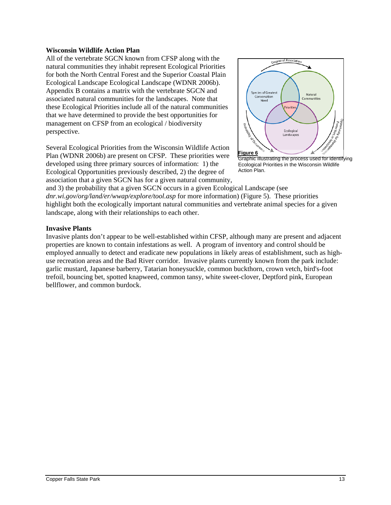#### **Wisconsin Wildlife Action Plan**

All of the vertebrate SGCN known from CFSP along with the natural communities they inhabit represent Ecological Priorities for both the North Central Forest and the Superior Coastal Plain Ecological Landscape Ecological Landscape (WDNR 2006b). Appendix B contains a matrix with the vertebrate SGCN and associated natural communities for the landscapes. Note that these Ecological Priorities include all of the natural communities that we have determined to provide the best opportunities for management on CFSP from an ecological / biodiversity perspective.

Several Ecological Priorities from the Wisconsin Wildlife Action Plan (WDNR 2006b) are present on CFSP. These priorities were developed using three primary sources of information: 1) the Ecological Opportunities previously described, 2) the degree of association that a given SGCN has for a given natural community,



Graphic illustrating the process used for identifying Ecological Priorities in the Wisconsin Wildlife Action Plan.

and 3) the probability that a given SGCN occurs in a given Ecological Landscape (see *dnr.wi.gov/org/land/er/wwap/explore/tool.asp* for more information) (Figure 5). These priorities highlight both the ecologically important natural communities and vertebrate animal species for a given landscape, along with their relationships to each other.

#### **Invasive Plants**

Invasive plants don't appear to be well-established within CFSP, although many are present and adjacent properties are known to contain infestations as well. A program of inventory and control should be employed annually to detect and eradicate new populations in likely areas of establishment, such as highuse recreation areas and the Bad River corridor. Invasive plants currently known from the park include: garlic mustard, Japanese barberry, Tatarian honeysuckle, common buckthorn, crown vetch, bird's-foot trefoil, bouncing bet, spotted knapweed, common tansy, white sweet-clover, Deptford pink, European bellflower, and common burdock.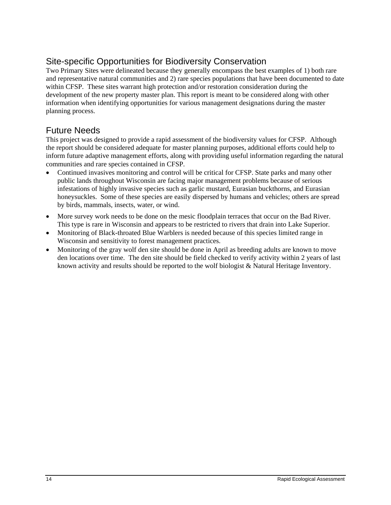## <span id="page-13-0"></span>Site-specific Opportunities for Biodiversity Conservation

Two Primary Sites were delineated because they generally encompass the best examples of 1) both rare and representative natural communities and 2) rare species populations that have been documented to date within CFSP. These sites warrant high protection and/or restoration consideration during the development of the new property master plan. This report is meant to be considered along with other information when identifying opportunities for various management designations during the master planning process.

### <span id="page-13-1"></span>Future Needs

This project was designed to provide a rapid assessment of the biodiversity values for CFSP. Although the report should be considered adequate for master planning purposes, additional efforts could help to inform future adaptive management efforts, along with providing useful information regarding the natural communities and rare species contained in CFSP.

- Continued invasives monitoring and control will be critical for CFSP. State parks and many other public lands throughout Wisconsin are facing major management problems because of serious infestations of highly invasive species such as garlic mustard, Eurasian buckthorns, and Eurasian honeysuckles. Some of these species are easily dispersed by humans and vehicles; others are spread by birds, mammals, insects, water, or wind.
- More survey work needs to be done on the mesic floodplain terraces that occur on the Bad River. This type is rare in Wisconsin and appears to be restricted to rivers that drain into Lake Superior.
- Monitoring of Black-throated Blue Warblers is needed because of this species limited range in Wisconsin and sensitivity to forest management practices.
- Monitoring of the gray wolf den site should be done in April as breeding adults are known to move den locations over time. The den site should be field checked to verify activity within 2 years of last known activity and results should be reported to the wolf biologist & Natural Heritage Inventory.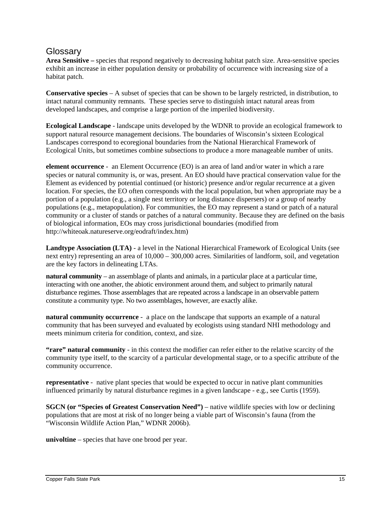### **Glossary**

**Area Sensitive –** species that respond negatively to decreasing habitat patch size. Area-sensitive species exhibit an increase in either population density or probability of occurrence with increasing size of a habitat patch.

**Conservative species** – A subset of species that can be shown to be largely restricted, in distribution, to intact natural community remnants. These species serve to distinguish intact natural areas from developed landscapes, and comprise a large portion of the imperiled biodiversity.

**Ecological Landscape** - landscape units developed by the WDNR to provide an ecological framework to support natural resource management decisions. The boundaries of Wisconsin's sixteen Ecological Landscapes correspond to ecoregional boundaries from the National Hierarchical Framework of Ecological Units, but sometimes combine subsections to produce a more manageable number of units.

**element occurrence** - an Element Occurrence (EO) is an area of land and/or water in which a rare species or natural community is, or was, present. An EO should have practical conservation value for the Element as evidenced by potential continued (or historic) presence and/or regular recurrence at a given location. For species, the EO often corresponds with the local population, but when appropriate may be a portion of a population (e.g., a single nest territory or long distance dispersers) or a group of nearby populations (e.g., metapopulation). For communities, the EO may represent a stand or patch of a natural community or a cluster of stands or patches of a natural community. Because they are defined on the basis of biological information, EOs may cross jurisdictional boundaries (modified from http://whiteoak.natureserve.org/eodraft/index.htm)

**Landtype Association (LTA)** - a level in the National Hierarchical Framework of Ecological Units (see next entry) representing an area of 10,000 – 300,000 acres. Similarities of landform, soil, and vegetation are the key factors in delineating LTAs.

**natural community** – an assemblage of plants and animals, in a particular place at a particular time, interacting with one another, the abiotic environment around them, and subject to primarily natural disturbance regimes. Those assemblages that are repeated across a landscape in an observable pattern constitute a community type. No two assemblages, however, are exactly alike.

**natural community occurrence** - a place on the landscape that supports an example of a natural community that has been surveyed and evaluated by ecologists using standard NHI methodology and meets minimum criteria for condition, context, and size.

**"rare" natural community** - in this context the modifier can refer either to the relative scarcity of the community type itself, to the scarcity of a particular developmental stage, or to a specific attribute of the community occurrence.

**representative** - native plant species that would be expected to occur in native plant communities influenced primarily by natural disturbance regimes in a given landscape - e.g., see Curtis (1959).

**SGCN (or "Species of Greatest Conservation Need")** – native wildlife species with low or declining populations that are most at risk of no longer being a viable part of Wisconsin's fauna (from the "Wisconsin Wildlife Action Plan," WDNR 2006b).

**univoltine** – species that have one brood per year.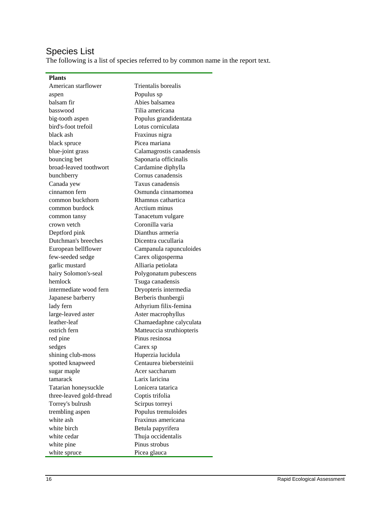## Species List

The following is a list of species referred to by common name in the report text.

| <b>Plants</b>                      |                           |  |
|------------------------------------|---------------------------|--|
| American starflower                | Trientalis borealis       |  |
| aspen                              | Populus sp                |  |
| balsam fir                         | Abies balsamea            |  |
| basswood                           | Tilia americana           |  |
| big-tooth aspen                    | Populus grandidentata     |  |
| bird's-foot trefoil                | Lotus corniculata         |  |
| black ash                          | Fraxinus nigra            |  |
| black spruce                       | Picea mariana             |  |
| blue-joint grass                   | Calamagrostis canadensis  |  |
| bouncing bet                       | Saponaria officinalis     |  |
| broad-leaved toothwort             | Cardamine diphylla        |  |
| bunchberry                         | Cornus canadensis         |  |
| Canada yew                         | Taxus canadensis          |  |
| cinnamon fern                      | Osmunda cinnamomea        |  |
| common buckthorn                   | Rhamnus cathartica        |  |
| common burdock                     | Arctium minus             |  |
| common tansy                       | Tanacetum vulgare         |  |
| crown vetch                        | Coronilla varia           |  |
| Deptford pink                      | Dianthus armeria          |  |
| Dutchman's breeches                | Dicentra cucullaria       |  |
| European bellflower                | Campanula rapunculoides   |  |
| few-seeded sedge                   | Carex oligosperma         |  |
| garlic mustard                     | Alliaria petiolata        |  |
| hairy Solomon's-seal               | Polygonatum pubescens     |  |
| hemlock                            | Tsuga canadensis          |  |
| intermediate wood fern             | Dryopteris intermedia     |  |
| Japanese barberry                  | Berberis thunbergii       |  |
| lady fern<br>Athyrium filix-femina |                           |  |
| large-leaved aster                 | Aster macrophyllus        |  |
| leather-leaf                       | Chamaedaphne calyculata   |  |
| ostrich fern                       | Matteuccia struthiopteris |  |
| red pine                           | Pinus resinosa            |  |
| sedges                             | Carex sp                  |  |
| shining club-moss                  | Huperzia lucidula         |  |
| spotted knapweed                   | Centaurea biebersteinii   |  |
| sugar maple                        | Acer saccharum            |  |
| tamarack                           | Larix laricina            |  |
| Tatarian honeysuckle               | Lonicera tatarica         |  |
| three-leaved gold-thread           | Coptis trifolia           |  |
| Torrey's bulrush                   | Scirpus torreyi           |  |
| trembling aspen                    | Populus tremuloides       |  |
| white ash                          | Fraxinus americana        |  |
| white birch                        | Betula papyrifera         |  |
| white cedar                        | Thuja occidentalis        |  |
| white pine                         | Pinus strobus             |  |
| white spruce                       | Picea glauca              |  |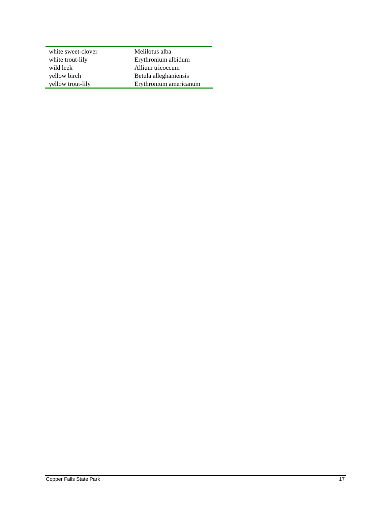| white sweet-clover | Melilotus alba         |
|--------------------|------------------------|
| white trout-lily   | Erythronium albidum    |
| wild leek          | Allium tricoccum       |
| yellow birch       | Betula alleghaniensis  |
| yellow trout-lily  | Erythronium americanum |